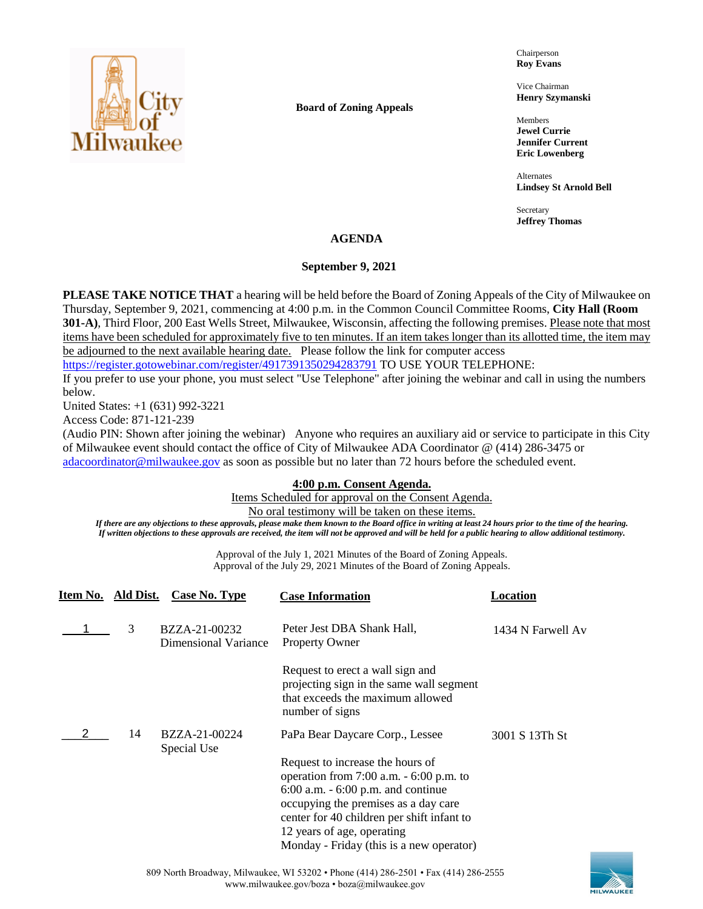

**Board of Zoning Appeals**

Chairperson **Roy Evans**

Vice Chairman **Henry Szymanski**

Members **Jewel Currie Jennifer Current Eric Lowenberg**

Alternates **Lindsey St Arnold Bell**

Secretary **Jeffrey Thomas**

## **AGENDA**

## **September 9, 2021**

**PLEASE TAKE NOTICE THAT** a hearing will be held before the Board of Zoning Appeals of the City of Milwaukee on Thursday, September 9, 2021, commencing at 4:00 p.m. in the Common Council Committee Rooms, **City Hall (Room 301-A)**, Third Floor, 200 East Wells Street, Milwaukee, Wisconsin, affecting the following premises. Please note that most items have been scheduled for approximately five to ten minutes. If an item takes longer than its allotted time, the item may be adjourned to the next available hearing date. Please follow the link for computer access

<https://register.gotowebinar.com/register/4917391350294283791> TO USE YOUR TELEPHONE:

If you prefer to use your phone, you must select "Use Telephone" after joining the webinar and call in using the numbers below.

United States: +1 (631) 992-3221

Access Code: 871-121-239

(Audio PIN: Shown after joining the webinar) Anyone who requires an auxiliary aid or service to participate in this City of Milwaukee event should contact the office of City of Milwaukee ADA Coordinator @ (414) 286-3475 or [adacoordinator@milwaukee.gov](mailto:adacoordinator@milwaukee.gov) as soon as possible but no later than 72 hours before the scheduled event.

## **4:00 p.m. Consent Agenda.**

Items Scheduled for approval on the Consent Agenda.

No oral testimony will be taken on these items.

*If there are any objections to these approvals, please make them known to the Board office in writing at least 24 hours prior to the time of the hearing. If written objections to these approvals are received, the item will not be approved and will be held for a public hearing to allow additional testimony.*

> Approval of the July 1, 2021 Minutes of the Board of Zoning Appeals. Approval of the July 29, 2021 Minutes of the Board of Zoning Appeals.

| Item No. Ald Dist. | Case No. Type                         | <b>Case Information</b>                                                                                                                                                                                                                                                                                                    | Location          |
|--------------------|---------------------------------------|----------------------------------------------------------------------------------------------------------------------------------------------------------------------------------------------------------------------------------------------------------------------------------------------------------------------------|-------------------|
| 3                  | BZZA-21-00232<br>Dimensional Variance | Peter Jest DBA Shank Hall,<br><b>Property Owner</b>                                                                                                                                                                                                                                                                        | 1434 N Farwell Av |
|                    |                                       | Request to erect a wall sign and<br>projecting sign in the same wall segment<br>that exceeds the maximum allowed<br>number of signs                                                                                                                                                                                        |                   |
| 14                 | BZZA-21-00224<br>Special Use          | PaPa Bear Daycare Corp., Lessee<br>Request to increase the hours of<br>operation from $7:00$ a.m. $-6:00$ p.m. to<br>$6:00$ a.m. $-6:00$ p.m. and continue<br>occupying the premises as a day care<br>center for 40 children per shift infant to<br>12 years of age, operating<br>Monday - Friday (this is a new operator) | 3001 S 13Th St    |

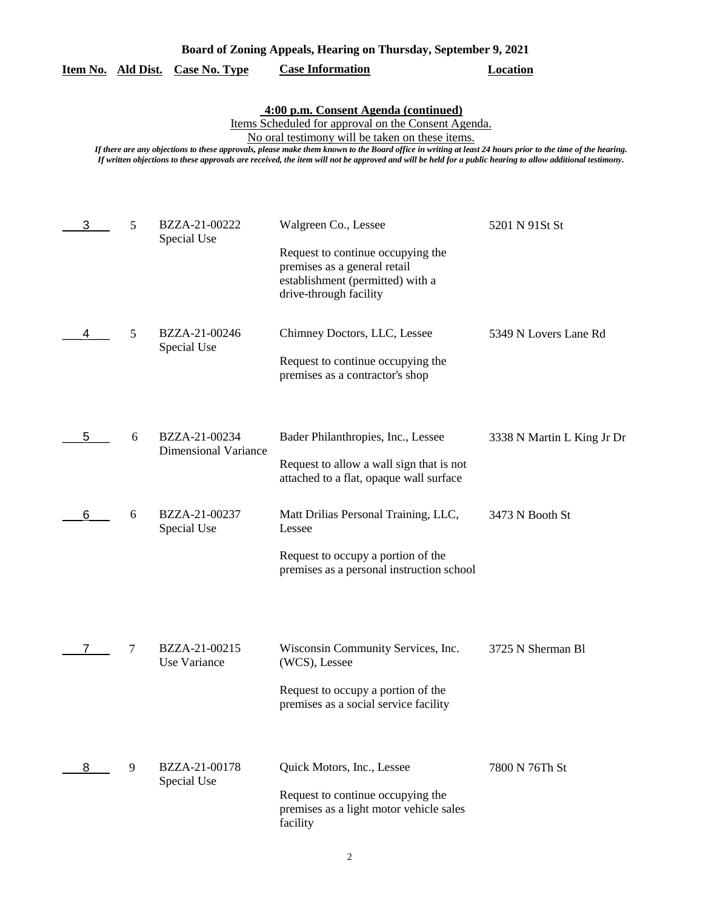| 4:00 p.m. Consent Agenda (continued)<br>Items Scheduled for approval on the Consent Agenda.<br>No oral testimony will be taken on these items.<br>If there are any objections to these approvals, please make them known to the Board office in writing at least 24 hours prior to the time of the hearing.<br>If written objections to these approvals are received, the item will not be approved and will be held for a public hearing to allow additional testimony. |   |                                              |                                                                                                                                                         |                            |
|--------------------------------------------------------------------------------------------------------------------------------------------------------------------------------------------------------------------------------------------------------------------------------------------------------------------------------------------------------------------------------------------------------------------------------------------------------------------------|---|----------------------------------------------|---------------------------------------------------------------------------------------------------------------------------------------------------------|----------------------------|
| 3                                                                                                                                                                                                                                                                                                                                                                                                                                                                        | 5 | BZZA-21-00222<br>Special Use                 | Walgreen Co., Lessee<br>Request to continue occupying the<br>premises as a general retail<br>establishment (permitted) with a<br>drive-through facility | 5201 N 91St St             |
|                                                                                                                                                                                                                                                                                                                                                                                                                                                                          | 5 | BZZA-21-00246<br>Special Use                 | Chimney Doctors, LLC, Lessee<br>Request to continue occupying the<br>premises as a contractor's shop                                                    | 5349 N Lovers Lane Rd      |
| 5                                                                                                                                                                                                                                                                                                                                                                                                                                                                        | 6 | BZZA-21-00234<br><b>Dimensional Variance</b> | Bader Philanthropies, Inc., Lessee<br>Request to allow a wall sign that is not<br>attached to a flat, opaque wall surface                               | 3338 N Martin L King Jr Dr |
| 6                                                                                                                                                                                                                                                                                                                                                                                                                                                                        | 6 | BZZA-21-00237<br>Special Use                 | Matt Drilias Personal Training, LLC,<br>Lessee<br>Request to occupy a portion of the<br>premises as a personal instruction school                       | 3473 N Booth St            |
|                                                                                                                                                                                                                                                                                                                                                                                                                                                                          | 7 | BZZA-21-00215<br>Use Variance                | Wisconsin Community Services, Inc.<br>(WCS), Lessee<br>Request to occupy a portion of the<br>premises as a social service facility                      | 3725 N Sherman Bl          |
| 8                                                                                                                                                                                                                                                                                                                                                                                                                                                                        | 9 | BZZA-21-00178<br>Special Use                 | Quick Motors, Inc., Lessee<br>Request to continue occupying the<br>premises as a light motor vehicle sales<br>facility                                  | 7800 N 76Th St             |

**Board of Zoning Appeals, Hearing on Thursday, September 9, 2021** 

**Item No. Ald Dist. Case No. Type Case Information Location**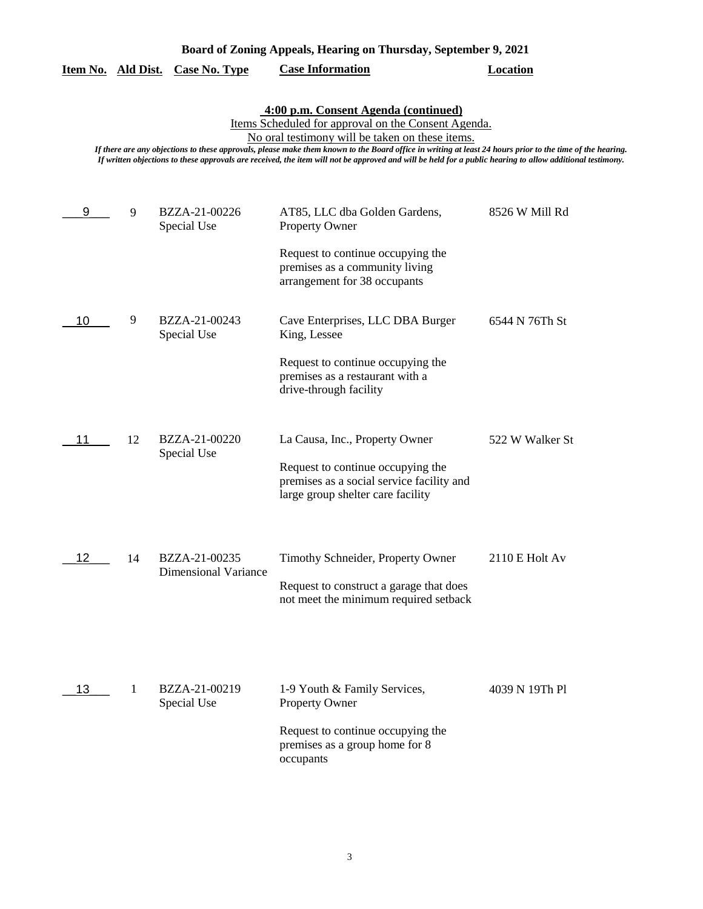|    | 4:00 p.m. Consent Agenda (continued)<br>Items Scheduled for approval on the Consent Agenda.<br>No oral testimony will be taken on these items.<br>If there are any objections to these approvals, please make them known to the Board office in writing at least 24 hours prior to the time of the hearing<br>If written objections to these approvals are received, the item will not be approved and will be held for a public hearing to allow additional testimony. |                                              |                                                                                                                                  |                 |  |
|----|-------------------------------------------------------------------------------------------------------------------------------------------------------------------------------------------------------------------------------------------------------------------------------------------------------------------------------------------------------------------------------------------------------------------------------------------------------------------------|----------------------------------------------|----------------------------------------------------------------------------------------------------------------------------------|-----------------|--|
| 9  | 9                                                                                                                                                                                                                                                                                                                                                                                                                                                                       | BZZA-21-00226<br>Special Use                 | AT85, LLC dba Golden Gardens,<br><b>Property Owner</b><br>Request to continue occupying the<br>premises as a community living    | 8526 W Mill Rd  |  |
| 10 | 9                                                                                                                                                                                                                                                                                                                                                                                                                                                                       | BZZA-21-00243<br>Special Use                 | arrangement for 38 occupants<br>Cave Enterprises, LLC DBA Burger<br>King, Lessee<br>Request to continue occupying the            | 6544 N 76Th St  |  |
| 11 | 12                                                                                                                                                                                                                                                                                                                                                                                                                                                                      | BZZA-21-00220<br>Special Use                 | premises as a restaurant with a<br>drive-through facility<br>La Causa, Inc., Property Owner<br>Request to continue occupying the | 522 W Walker St |  |
| 12 | 14                                                                                                                                                                                                                                                                                                                                                                                                                                                                      | BZZA-21-00235<br><b>Dimensional Variance</b> | premises as a social service facility and<br>large group shelter care facility<br>Timothy Schneider, Property Owner              | 2110 E Holt Av  |  |
| 13 | -1                                                                                                                                                                                                                                                                                                                                                                                                                                                                      | BZZA-21-00219                                | Request to construct a garage that does<br>not meet the minimum required setback<br>1-9 Youth & Family Services,                 | 4039 N 19Th Pl  |  |
|    |                                                                                                                                                                                                                                                                                                                                                                                                                                                                         | Special Use                                  | Property Owner<br>Request to continue occupying the<br>premises as a group home for 8<br>occupants                               |                 |  |

**Item No. Ald Dist. Case No. Type Case Information Location**

**Board of Zoning Appeals, Hearing on Thursday, September 9, 2021**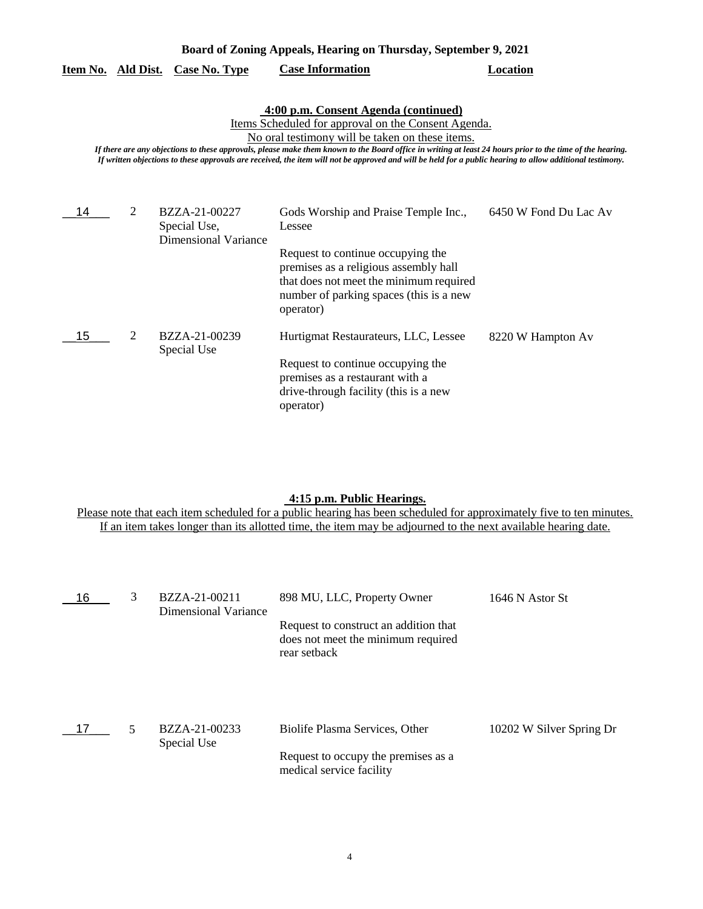| Board of Zoning Appeals, Hearing on Thursday, September 9, 2021 |                                                                                                                                                                                                                                                                                                                                                                                                                                                                          |                                                              |                                                                                                                                                                                                                                 |                       |  |
|-----------------------------------------------------------------|--------------------------------------------------------------------------------------------------------------------------------------------------------------------------------------------------------------------------------------------------------------------------------------------------------------------------------------------------------------------------------------------------------------------------------------------------------------------------|--------------------------------------------------------------|---------------------------------------------------------------------------------------------------------------------------------------------------------------------------------------------------------------------------------|-----------------------|--|
| Item No. Ald Dist.                                              |                                                                                                                                                                                                                                                                                                                                                                                                                                                                          | <b>Case No. Type</b>                                         | <b>Case Information</b>                                                                                                                                                                                                         | Location              |  |
|                                                                 | 4:00 p.m. Consent Agenda (continued)<br>Items Scheduled for approval on the Consent Agenda.<br>No oral testimony will be taken on these items.<br>If there are any objections to these approvals, please make them known to the Board office in writing at least 24 hours prior to the time of the hearing.<br>If written objections to these approvals are received, the item will not be approved and will be held for a public hearing to allow additional testimony. |                                                              |                                                                                                                                                                                                                                 |                       |  |
| 14                                                              | 2                                                                                                                                                                                                                                                                                                                                                                                                                                                                        | BZZA-21-00227<br>Special Use,<br><b>Dimensional Variance</b> | Gods Worship and Praise Temple Inc.,<br>Lessee<br>Request to continue occupying the<br>premises as a religious assembly hall<br>that does not meet the minimum required<br>number of parking spaces (this is a new<br>operator) | 6450 W Fond Du Lac Av |  |
| 15                                                              | 2                                                                                                                                                                                                                                                                                                                                                                                                                                                                        | BZZA-21-00239<br>Special Use                                 | Hurtigmat Restaurateurs, LLC, Lessee<br>Request to continue occupying the<br>premises as a restaurant with a<br>drive-through facility (this is a new<br>operator)                                                              | 8220 W Hampton Av     |  |

# **4:15 p.m. Public Hearings.**

Please note that each item scheduled for a public hearing has been scheduled for approximately five to ten minutes. If an item takes longer than its allotted time, the item may be adjourned to the next available hearing date.

| 16 | 3 | BZZA-21-00211<br>Dimensional Variance | 898 MU, LLC, Property Owner                                                                 | 1646 N Astor St          |
|----|---|---------------------------------------|---------------------------------------------------------------------------------------------|--------------------------|
|    |   |                                       | Request to construct an addition that<br>does not meet the minimum required<br>rear setback |                          |
|    | 5 | BZZA-21-00233<br>Special Use          | Biolife Plasma Services, Other                                                              | 10202 W Silver Spring Dr |
|    |   |                                       | Request to occupy the premises as a<br>medical service facility                             |                          |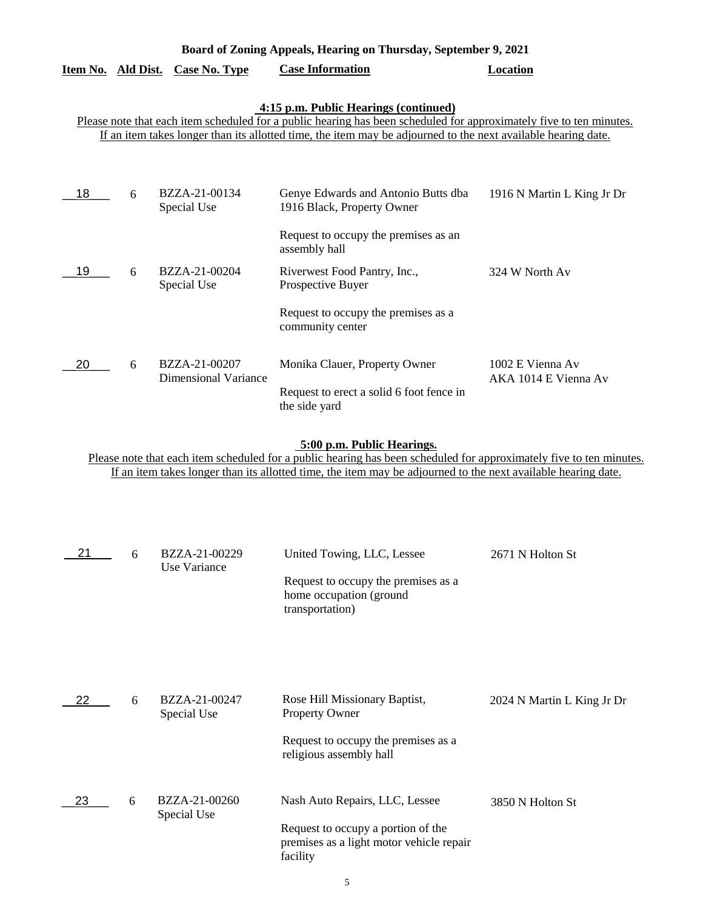| Board of Zoning Appeals, Hearing on Thursday, September 9, 2021                                                                                                                                                                                                               |   |                                         |                                                                                                            |                                          |
|-------------------------------------------------------------------------------------------------------------------------------------------------------------------------------------------------------------------------------------------------------------------------------|---|-----------------------------------------|------------------------------------------------------------------------------------------------------------|------------------------------------------|
|                                                                                                                                                                                                                                                                               |   | <u>Item No. Ald Dist. Case No. Type</u> | <b>Case Information</b>                                                                                    | <b>Location</b>                          |
| 4:15 p.m. Public Hearings (continued)<br>Please note that each item scheduled for a public hearing has been scheduled for approximately five to ten minutes.<br>If an item takes longer than its allotted time, the item may be adjourned to the next available hearing date. |   |                                         |                                                                                                            |                                          |
| 18                                                                                                                                                                                                                                                                            | 6 | BZZA-21-00134<br>Special Use            | Genye Edwards and Antonio Butts dba<br>1916 Black, Property Owner                                          | 1916 N Martin L King Jr Dr               |
| 19                                                                                                                                                                                                                                                                            | 6 | BZZA-21-00204<br>Special Use            | Request to occupy the premises as an<br>assembly hall<br>Riverwest Food Pantry, Inc.,<br>Prospective Buyer | 324 W North Av                           |
|                                                                                                                                                                                                                                                                               |   |                                         | Request to occupy the premises as a<br>community center                                                    |                                          |
| 20                                                                                                                                                                                                                                                                            | 6 | BZZA-21-00207<br>Dimensional Variance   | Monika Clauer, Property Owner<br>Request to erect a solid 6 foot fence in<br>the side yard                 | 1002 E Vienna Av<br>AKA 1014 E Vienna Av |

## **5:00 p.m. Public Hearings.**

Please note that each item scheduled for a public hearing has been scheduled for approximately five to ten minutes. If an item takes longer than its allotted time, the item may be adjourned to the next available hearing date.

| 21 | 6 | BZZA-21-00229<br>Use Variance | United Towing, LLC, Lessee                                                                 | 2671 N Holton St           |
|----|---|-------------------------------|--------------------------------------------------------------------------------------------|----------------------------|
|    |   |                               | Request to occupy the premises as a<br>home occupation (ground<br>transportation)          |                            |
|    |   |                               |                                                                                            |                            |
| 22 | 6 | BZZA-21-00247<br>Special Use  | Rose Hill Missionary Baptist,<br><b>Property Owner</b>                                     | 2024 N Martin L King Jr Dr |
|    |   |                               | Request to occupy the premises as a<br>religious assembly hall                             |                            |
| 23 | 6 | BZZA-21-00260<br>Special Use  | Nash Auto Repairs, LLC, Lessee                                                             | 3850 N Holton St           |
|    |   |                               | Request to occupy a portion of the<br>premises as a light motor vehicle repair<br>facility |                            |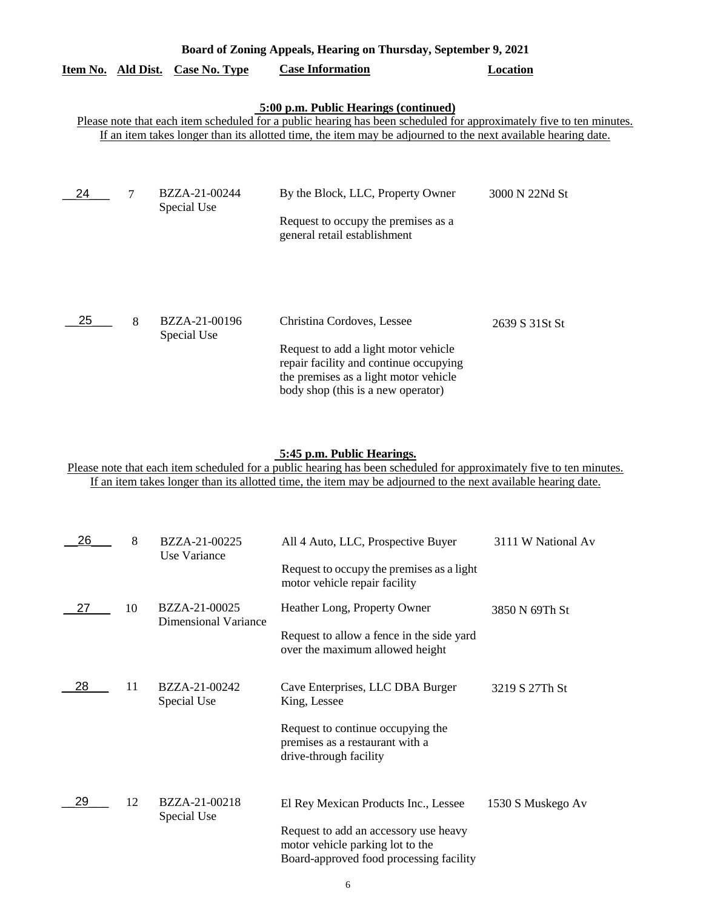| Board of Zoning Appeals, Hearing on Thursday, September 9, 2021 |   |                                  |                                                                                                                                                                                                                                                                               |                |
|-----------------------------------------------------------------|---|----------------------------------|-------------------------------------------------------------------------------------------------------------------------------------------------------------------------------------------------------------------------------------------------------------------------------|----------------|
|                                                                 |   | Item No. Ald Dist. Case No. Type | <b>Case Information</b>                                                                                                                                                                                                                                                       | Location       |
|                                                                 |   |                                  | 5:00 p.m. Public Hearings (continued)<br>Please note that each item scheduled for a public hearing has been scheduled for approximately five to ten minutes.<br>If an item takes longer than its allotted time, the item may be adjourned to the next available hearing date. |                |
| 24                                                              | 7 | BZZA-21-00244<br>Special Use     | By the Block, LLC, Property Owner<br>Request to occupy the premises as a<br>general retail establishment                                                                                                                                                                      | 3000 N 22Nd St |
| 25                                                              | 8 | BZZA-21-00196<br>Special Use     | Christina Cordoves, Lessee<br>Request to add a light motor vehicle<br>repair facility and continue occupying<br>the premises as a light motor vehicle<br>body shop (this is a new operator)                                                                                   | 2639 S 31St St |

### **5:45 p.m. Public Hearings.**

Please note that each item scheduled for a public hearing has been scheduled for approximately five to ten minutes. If an item takes longer than its allotted time, the item may be adjourned to the next available hearing date.

| 26 | 8  | BZZA-21-00225<br>Use Variance | All 4 Auto, LLC, Prospective Buyer                                                                                   | 3111 W National Av |
|----|----|-------------------------------|----------------------------------------------------------------------------------------------------------------------|--------------------|
|    |    |                               | Request to occupy the premises as a light<br>motor vehicle repair facility                                           |                    |
| 27 | 10 | BZZA-21-00025                 | Heather Long, Property Owner                                                                                         | 3850 N 69Th St     |
|    |    | <b>Dimensional Variance</b>   | Request to allow a fence in the side yard<br>over the maximum allowed height                                         |                    |
| 28 | 11 | BZZA-21-00242<br>Special Use  | Cave Enterprises, LLC DBA Burger<br>King, Lessee                                                                     | 3219 S 27Th St     |
|    |    |                               | Request to continue occupying the<br>premises as a restaurant with a<br>drive-through facility                       |                    |
| 29 | 12 | BZZA-21-00218<br>Special Use  | El Rey Mexican Products Inc., Lessee                                                                                 | 1530 S Muskego Av  |
|    |    |                               | Request to add an accessory use heavy<br>motor vehicle parking lot to the<br>Board-approved food processing facility |                    |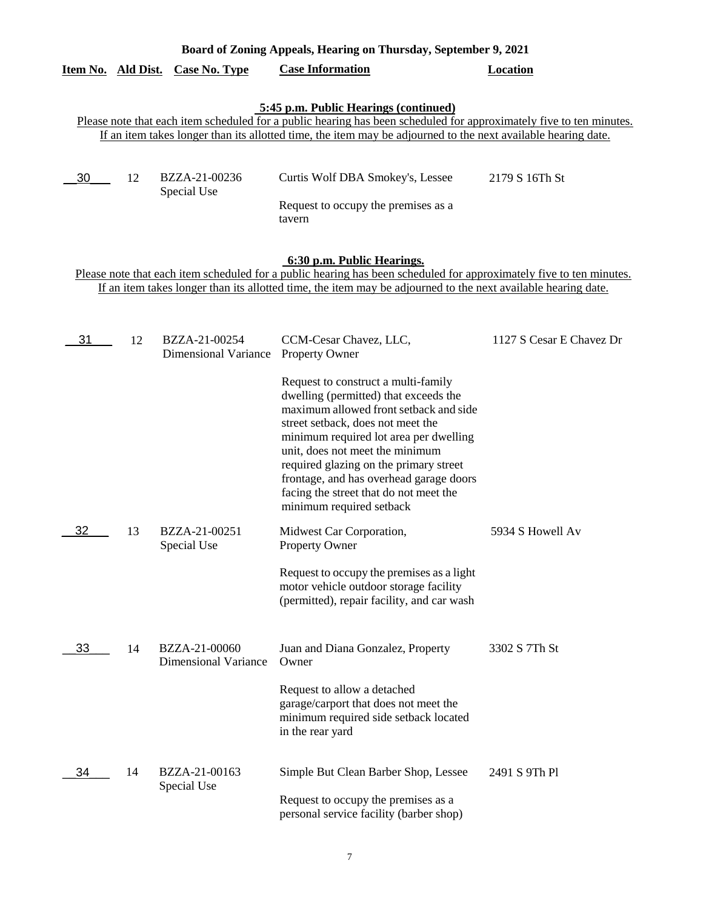| Board of Zoning Appeals, Hearing on Thursday, September 9, 2021                                                                                                                                                                                                    |    |                              |                                                                                                                                                                                                                                                                               |                |
|--------------------------------------------------------------------------------------------------------------------------------------------------------------------------------------------------------------------------------------------------------------------|----|------------------------------|-------------------------------------------------------------------------------------------------------------------------------------------------------------------------------------------------------------------------------------------------------------------------------|----------------|
| Item No. Ald Dist.                                                                                                                                                                                                                                                 |    | Case No. Type                | <b>Case Information</b>                                                                                                                                                                                                                                                       | Location       |
|                                                                                                                                                                                                                                                                    |    |                              | 5:45 p.m. Public Hearings (continued)<br>Please note that each item scheduled for a public hearing has been scheduled for approximately five to ten minutes.<br>If an item takes longer than its allotted time, the item may be adjourned to the next available hearing date. |                |
| 30                                                                                                                                                                                                                                                                 | 12 | BZZA-21-00236<br>Special Use | Curtis Wolf DBA Smokey's, Lessee<br>Request to occupy the premises as a<br>tavern                                                                                                                                                                                             | 2179 S 16Th St |
| 6:30 p.m. Public Hearings.<br>Please note that each item scheduled for a public hearing has been scheduled for approximately five to ten minutes.<br>If an item takes longer than its allotted time, the item may be adjourned to the next available hearing date. |    |                              |                                                                                                                                                                                                                                                                               |                |

| 31 | 12 | BZZA-21-00254<br><b>Dimensional Variance</b> | CCM-Cesar Chavez, LLC,<br><b>Property Owner</b>                                                                                                                                                                                                                                                                                                                                                     | 1127 S Cesar E Chavez Dr |
|----|----|----------------------------------------------|-----------------------------------------------------------------------------------------------------------------------------------------------------------------------------------------------------------------------------------------------------------------------------------------------------------------------------------------------------------------------------------------------------|--------------------------|
|    |    |                                              | Request to construct a multi-family<br>dwelling (permitted) that exceeds the<br>maximum allowed front setback and side<br>street setback, does not meet the<br>minimum required lot area per dwelling<br>unit, does not meet the minimum<br>required glazing on the primary street<br>frontage, and has overhead garage doors<br>facing the street that do not meet the<br>minimum required setback |                          |
| 32 | 13 | BZZA-21-00251<br>Special Use                 | Midwest Car Corporation,<br><b>Property Owner</b>                                                                                                                                                                                                                                                                                                                                                   | 5934 S Howell Av         |
|    |    |                                              | Request to occupy the premises as a light<br>motor vehicle outdoor storage facility<br>(permitted), repair facility, and car wash                                                                                                                                                                                                                                                                   |                          |
| 33 | 14 | BZZA-21-00060<br><b>Dimensional Variance</b> | Juan and Diana Gonzalez, Property<br>Owner                                                                                                                                                                                                                                                                                                                                                          | 3302 S 7Th St            |
|    |    |                                              | Request to allow a detached<br>garage/carport that does not meet the<br>minimum required side setback located<br>in the rear yard                                                                                                                                                                                                                                                                   |                          |
| 34 | 14 | BZZA-21-00163<br>Special Use                 | Simple But Clean Barber Shop, Lessee                                                                                                                                                                                                                                                                                                                                                                | 2491 S 9Th Pl            |
|    |    |                                              | Request to occupy the premises as a<br>personal service facility (barber shop)                                                                                                                                                                                                                                                                                                                      |                          |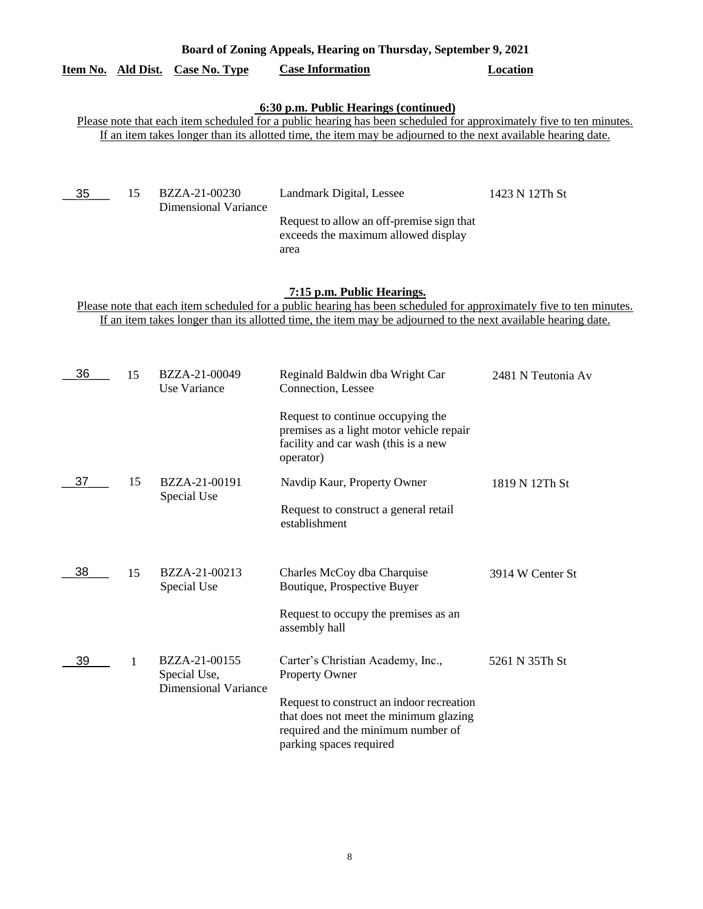| Board of Zoning Appeals, Hearing on Thursday, September 9, 2021 |                                                                                                                                                                                                                                                                               |                                                              |                                                                                                                                                                                                                                                                    |                    |  |  |
|-----------------------------------------------------------------|-------------------------------------------------------------------------------------------------------------------------------------------------------------------------------------------------------------------------------------------------------------------------------|--------------------------------------------------------------|--------------------------------------------------------------------------------------------------------------------------------------------------------------------------------------------------------------------------------------------------------------------|--------------------|--|--|
| Item No. Ald Dist.                                              |                                                                                                                                                                                                                                                                               | Case No. Type                                                | <b>Case Information</b>                                                                                                                                                                                                                                            | <b>Location</b>    |  |  |
|                                                                 | 6:30 p.m. Public Hearings (continued)<br>Please note that each item scheduled for a public hearing has been scheduled for approximately five to ten minutes.<br>If an item takes longer than its allotted time, the item may be adjourned to the next available hearing date. |                                                              |                                                                                                                                                                                                                                                                    |                    |  |  |
| 35                                                              | 15                                                                                                                                                                                                                                                                            | BZZA-21-00230<br><b>Dimensional Variance</b>                 | Landmark Digital, Lessee<br>Request to allow an off-premise sign that<br>exceeds the maximum allowed display<br>area                                                                                                                                               | 1423 N 12Th St     |  |  |
|                                                                 |                                                                                                                                                                                                                                                                               |                                                              | 7:15 p.m. Public Hearings.<br>Please note that each item scheduled for a public hearing has been scheduled for approximately five to ten minutes.<br>If an item takes longer than its allotted time, the item may be adjourned to the next available hearing date. |                    |  |  |
|                                                                 |                                                                                                                                                                                                                                                                               |                                                              |                                                                                                                                                                                                                                                                    |                    |  |  |
| 36                                                              | 15                                                                                                                                                                                                                                                                            | BZZA-21-00049<br>Use Variance                                | Reginald Baldwin dba Wright Car<br>Connection, Lessee                                                                                                                                                                                                              | 2481 N Teutonia Av |  |  |
|                                                                 |                                                                                                                                                                                                                                                                               |                                                              | Request to continue occupying the<br>premises as a light motor vehicle repair<br>facility and car wash (this is a new<br>operator)                                                                                                                                 |                    |  |  |
| 37                                                              | 15                                                                                                                                                                                                                                                                            | BZZA-21-00191<br>Special Use                                 | Navdip Kaur, Property Owner                                                                                                                                                                                                                                        | 1819 N 12Th St     |  |  |
|                                                                 |                                                                                                                                                                                                                                                                               |                                                              | Request to construct a general retail<br>establishment                                                                                                                                                                                                             |                    |  |  |
| 38                                                              | 15                                                                                                                                                                                                                                                                            | BZZA-21-00213<br>Special Use                                 | Charles McCoy dba Charquise<br>Boutique, Prospective Buyer                                                                                                                                                                                                         | 3914 W Center St   |  |  |
|                                                                 |                                                                                                                                                                                                                                                                               |                                                              | Request to occupy the premises as an<br>assembly hall                                                                                                                                                                                                              |                    |  |  |
| 39                                                              | 1                                                                                                                                                                                                                                                                             | BZZA-21-00155<br>Special Use,<br><b>Dimensional Variance</b> | Carter's Christian Academy, Inc.,<br><b>Property Owner</b>                                                                                                                                                                                                         | 5261 N 35Th St     |  |  |
|                                                                 |                                                                                                                                                                                                                                                                               |                                                              | Request to construct an indoor recreation<br>that does not meet the minimum glazing<br>required and the minimum number of<br>parking spaces required                                                                                                               |                    |  |  |